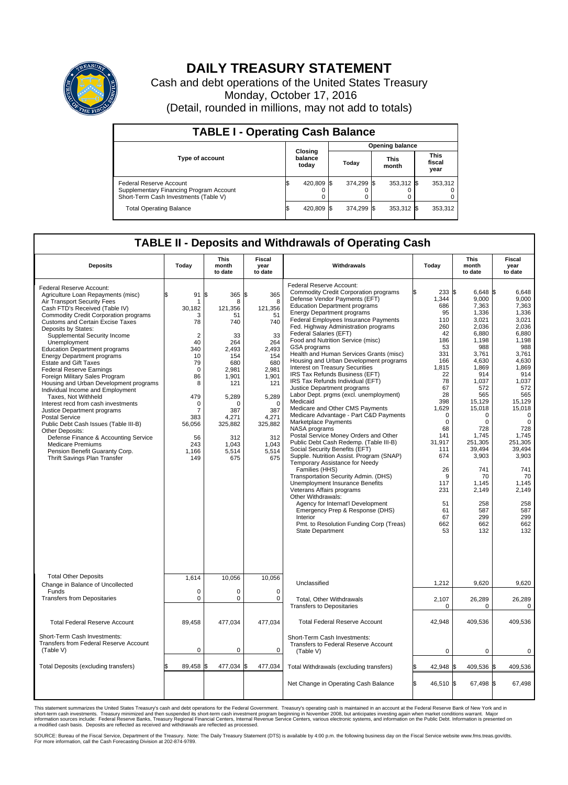

## **DAILY TREASURY STATEMENT**

Cash and debt operations of the United States Treasury Monday, October 17, 2016 (Detail, rounded in millions, may not add to totals)

| <b>TABLE I - Operating Cash Balance</b>                                                                     |  |                             |    |                        |  |                      |  |                               |  |  |  |
|-------------------------------------------------------------------------------------------------------------|--|-----------------------------|----|------------------------|--|----------------------|--|-------------------------------|--|--|--|
|                                                                                                             |  | Closing<br>balance<br>today |    | <b>Opening balance</b> |  |                      |  |                               |  |  |  |
| <b>Type of account</b>                                                                                      |  |                             |    | Today                  |  | <b>This</b><br>month |  | <b>This</b><br>fiscal<br>year |  |  |  |
| Federal Reserve Account<br>Supplementary Financing Program Account<br>Short-Term Cash Investments (Table V) |  | 420,809                     | 15 | 374.299 \$             |  | 353,312 \$           |  | 353,312                       |  |  |  |
| <b>Total Operating Balance</b>                                                                              |  | 420,809                     |    | 374,299 \$             |  | 353,312 \$           |  | 353,312                       |  |  |  |

## **TABLE II - Deposits and Withdrawals of Operating Cash**

| <b>Deposits</b>                                                                                                                                                                                                                                                                                                                                                                                                                                                                                                                                                                                                                                                                                                                                                                                                                                                                    | Today                                                                                                                                                                                       | <b>This</b><br>month<br>to date                                                                                                                                                     | <b>Fiscal</b><br>year<br>to date                                                                                                                                                     | Withdrawals                                                                                                                                                                                                                                                                                                                                                                                                                                                                                                                                                                                                                                                                                                                                                                                                                                                                                                                                                                                                                                                                                                                                                                                                                                                                 | Today                                                                                                                                                                                                                                                   | This<br>month<br>to date                                                                                                                                                                                                                                                                     | Fiscal<br>year<br>to date                                                                                                                                                                                                                                                                    |
|------------------------------------------------------------------------------------------------------------------------------------------------------------------------------------------------------------------------------------------------------------------------------------------------------------------------------------------------------------------------------------------------------------------------------------------------------------------------------------------------------------------------------------------------------------------------------------------------------------------------------------------------------------------------------------------------------------------------------------------------------------------------------------------------------------------------------------------------------------------------------------|---------------------------------------------------------------------------------------------------------------------------------------------------------------------------------------------|-------------------------------------------------------------------------------------------------------------------------------------------------------------------------------------|--------------------------------------------------------------------------------------------------------------------------------------------------------------------------------------|-----------------------------------------------------------------------------------------------------------------------------------------------------------------------------------------------------------------------------------------------------------------------------------------------------------------------------------------------------------------------------------------------------------------------------------------------------------------------------------------------------------------------------------------------------------------------------------------------------------------------------------------------------------------------------------------------------------------------------------------------------------------------------------------------------------------------------------------------------------------------------------------------------------------------------------------------------------------------------------------------------------------------------------------------------------------------------------------------------------------------------------------------------------------------------------------------------------------------------------------------------------------------------|---------------------------------------------------------------------------------------------------------------------------------------------------------------------------------------------------------------------------------------------------------|----------------------------------------------------------------------------------------------------------------------------------------------------------------------------------------------------------------------------------------------------------------------------------------------|----------------------------------------------------------------------------------------------------------------------------------------------------------------------------------------------------------------------------------------------------------------------------------------------|
| Federal Reserve Account:<br>Agriculture Loan Repayments (misc)<br>Air Transport Security Fees<br>Cash FTD's Received (Table IV)<br><b>Commodity Credit Corporation programs</b><br><b>Customs and Certain Excise Taxes</b><br>Deposits by States:<br>Supplemental Security Income<br>Unemployment<br><b>Education Department programs</b><br><b>Energy Department programs</b><br>Estate and Gift Taxes<br><b>Federal Reserve Earnings</b><br>Foreign Military Sales Program<br>Housing and Urban Development programs<br>Individual Income and Employment<br>Taxes. Not Withheld<br>Interest recd from cash investments<br>Justice Department programs<br><b>Postal Service</b><br>Public Debt Cash Issues (Table III-B)<br>Other Deposits:<br>Defense Finance & Accounting Service<br><b>Medicare Premiums</b><br>Pension Benefit Guaranty Corp.<br>Thrift Savings Plan Transfer | \$<br>91<br>-1<br>30,182<br>3<br>78<br>$\overline{2}$<br>40<br>340<br>10<br>79<br>$\Omega$<br>86<br>8<br>479<br>$\mathbf 0$<br>$\overline{7}$<br>383<br>56,056<br>56<br>243<br>1.166<br>149 | ß.<br>365<br>8<br>121,356<br>51<br>740<br>33<br>264<br>2,493<br>154<br>680<br>2.981<br>1,901<br>121<br>5,289<br>$\Omega$<br>387<br>4.271<br>325,882<br>312<br>1,043<br>5.514<br>675 | l\$<br>365<br>8<br>121,356<br>51<br>740<br>33<br>264<br>2.493<br>154<br>680<br>2.981<br>1,901<br>121<br>5,289<br>$\Omega$<br>387<br>4,271<br>325,882<br>312<br>1,043<br>5,514<br>675 | Federal Reserve Account:<br><b>Commodity Credit Corporation programs</b><br>Defense Vendor Payments (EFT)<br><b>Education Department programs</b><br><b>Energy Department programs</b><br><b>Federal Employees Insurance Payments</b><br>Fed. Highway Administration programs<br>Federal Salaries (EFT)<br>Food and Nutrition Service (misc)<br>GSA programs<br>Health and Human Services Grants (misc)<br>Housing and Urban Development programs<br>Interest on Treasury Securities<br>IRS Tax Refunds Business (EFT)<br>IRS Tax Refunds Individual (EFT)<br>Justice Department programs<br>Labor Dept. prgms (excl. unemployment)<br>Medicaid<br>Medicare and Other CMS Payments<br>Medicare Advantage - Part C&D Payments<br>Marketplace Payments<br>NASA programs<br>Postal Service Money Orders and Other<br>Public Debt Cash Redemp. (Table III-B)<br>Social Security Benefits (EFT)<br>Supple. Nutrition Assist. Program (SNAP)<br>Temporary Assistance for Needy<br>Families (HHS)<br>Transportation Security Admin. (DHS)<br>Unemployment Insurance Benefits<br>Veterans Affairs programs<br>Other Withdrawals:<br>Agency for Internat'l Development<br>Emergency Prep & Response (DHS)<br>Interior<br>Pmt. to Resolution Funding Corp (Treas)<br>State Department | 233 \$<br>1.344<br>686<br>95<br>110<br>260<br>42<br>186<br>53<br>331<br>166<br>1,815<br>22<br>78<br>67<br>28<br>398<br>1.629<br>$\mathbf 0$<br>$\mathbf 0$<br>68<br>141<br>31,917<br>111<br>674<br>26<br>9<br>117<br>231<br>51<br>61<br>67<br>662<br>53 | 6,648 \$<br>9.000<br>7,363<br>1,336<br>3,021<br>2.036<br>6.880<br>1,198<br>988<br>3,761<br>4.630<br>1,869<br>914<br>1,037<br>572<br>565<br>15,129<br>15,018<br>$\Omega$<br>0<br>728<br>1,745<br>251,305<br>39,494<br>3,903<br>741<br>70<br>1.145<br>2,149<br>258<br>587<br>299<br>662<br>132 | 6,648<br>9.000<br>7.363<br>1,336<br>3,021<br>2,036<br>6.880<br>1,198<br>988<br>3,761<br>4.630<br>1,869<br>914<br>1,037<br>572<br>565<br>15,129<br>15.018<br>0<br>$\mathbf 0$<br>728<br>1.745<br>251,305<br>39,494<br>3,903<br>741<br>70<br>1.145<br>2,149<br>258<br>587<br>299<br>662<br>132 |
| <b>Total Other Deposits</b><br>Change in Balance of Uncollected                                                                                                                                                                                                                                                                                                                                                                                                                                                                                                                                                                                                                                                                                                                                                                                                                    | 1,614                                                                                                                                                                                       | 10,056                                                                                                                                                                              | 10,056                                                                                                                                                                               | Unclassified                                                                                                                                                                                                                                                                                                                                                                                                                                                                                                                                                                                                                                                                                                                                                                                                                                                                                                                                                                                                                                                                                                                                                                                                                                                                | 1,212                                                                                                                                                                                                                                                   | 9,620                                                                                                                                                                                                                                                                                        | 9,620                                                                                                                                                                                                                                                                                        |
| Funds<br><b>Transfers from Depositaries</b>                                                                                                                                                                                                                                                                                                                                                                                                                                                                                                                                                                                                                                                                                                                                                                                                                                        | $\mathbf 0$<br>0                                                                                                                                                                            | 0<br>0                                                                                                                                                                              | $\mathbf 0$<br>0                                                                                                                                                                     | Total, Other Withdrawals<br><b>Transfers to Depositaries</b>                                                                                                                                                                                                                                                                                                                                                                                                                                                                                                                                                                                                                                                                                                                                                                                                                                                                                                                                                                                                                                                                                                                                                                                                                | 2,107<br>$\mathbf 0$                                                                                                                                                                                                                                    | 26,289<br>0                                                                                                                                                                                                                                                                                  | 26,289<br>$\mathbf 0$                                                                                                                                                                                                                                                                        |
| <b>Total Federal Reserve Account</b>                                                                                                                                                                                                                                                                                                                                                                                                                                                                                                                                                                                                                                                                                                                                                                                                                                               | 89,458                                                                                                                                                                                      | 477,034                                                                                                                                                                             | 477,034                                                                                                                                                                              | <b>Total Federal Reserve Account</b>                                                                                                                                                                                                                                                                                                                                                                                                                                                                                                                                                                                                                                                                                                                                                                                                                                                                                                                                                                                                                                                                                                                                                                                                                                        | 42,948                                                                                                                                                                                                                                                  | 409,536                                                                                                                                                                                                                                                                                      | 409,536                                                                                                                                                                                                                                                                                      |
| Short-Term Cash Investments:<br><b>Transfers from Federal Reserve Account</b><br>(Table V)                                                                                                                                                                                                                                                                                                                                                                                                                                                                                                                                                                                                                                                                                                                                                                                         | $\pmb{0}$                                                                                                                                                                                   | 0                                                                                                                                                                                   | $\mathbf 0$                                                                                                                                                                          | Short-Term Cash Investments:<br><b>Transfers to Federal Reserve Account</b><br>(Table V)                                                                                                                                                                                                                                                                                                                                                                                                                                                                                                                                                                                                                                                                                                                                                                                                                                                                                                                                                                                                                                                                                                                                                                                    | $\mathbf 0$                                                                                                                                                                                                                                             | 0                                                                                                                                                                                                                                                                                            | $\mathbf 0$                                                                                                                                                                                                                                                                                  |
| Total Deposits (excluding transfers)                                                                                                                                                                                                                                                                                                                                                                                                                                                                                                                                                                                                                                                                                                                                                                                                                                               | 89,458                                                                                                                                                                                      | 477,034<br>\$                                                                                                                                                                       | \$<br>477,034                                                                                                                                                                        | Total Withdrawals (excluding transfers)                                                                                                                                                                                                                                                                                                                                                                                                                                                                                                                                                                                                                                                                                                                                                                                                                                                                                                                                                                                                                                                                                                                                                                                                                                     | 42,948 \$                                                                                                                                                                                                                                               | 409,536 \$                                                                                                                                                                                                                                                                                   | 409,536                                                                                                                                                                                                                                                                                      |
|                                                                                                                                                                                                                                                                                                                                                                                                                                                                                                                                                                                                                                                                                                                                                                                                                                                                                    |                                                                                                                                                                                             |                                                                                                                                                                                     |                                                                                                                                                                                      | Net Change in Operating Cash Balance                                                                                                                                                                                                                                                                                                                                                                                                                                                                                                                                                                                                                                                                                                                                                                                                                                                                                                                                                                                                                                                                                                                                                                                                                                        | l\$<br>46,510 \$                                                                                                                                                                                                                                        | 67,498 \$                                                                                                                                                                                                                                                                                    | 67,498                                                                                                                                                                                                                                                                                       |

This statement summarizes the United States Treasury's cash and debt operations for the Federal Government. Treasury's operating cash is maintained in an account at the Federal Reserve Bank of New York and in<br>short-term ca

SOURCE: Bureau of the Fiscal Service, Department of the Treasury. Note: The Daily Treasury Statement (DTS) is available by 4:00 p.m. the following business day on the Fiscal Service website www.fms.treas.gov/dts.<br>For more